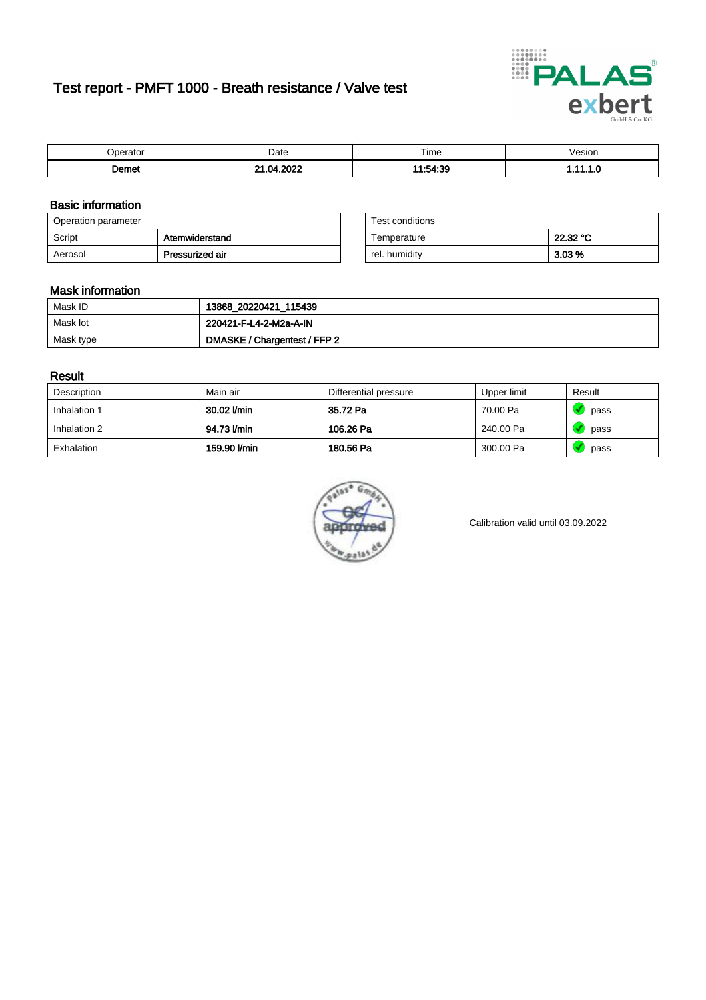# Test report - PMFT 1000 - Breath resistance / Valve test



| $. In a node -$<br>аю | Date      | $- \cdot$<br>Time       | esion |
|-----------------------|-----------|-------------------------|-------|
| ີ emet                | റററ<br>nд | $11 - 51 - 20$<br>סטורט | .     |

### Basic information

| Operation parameter |                 | Test conditions |          |
|---------------------|-----------------|-----------------|----------|
| Script              | Atemwiderstand  | Temperature     | 22.32 °C |
| Aerosol             | Pressurized air | rel. humiditv   | $3.03\%$ |

| Test conditions |          |
|-----------------|----------|
| Temperature     | 22.32 °C |
| rel. humidity   | 3.03%    |

#### Mask information

| Mask ID   | 13868_20220421_115439        |
|-----------|------------------------------|
| Mask lot  | 220421-F-L4-2-M2a-A-IN       |
| Mask type | DMASKE / Chargentest / FFP 2 |

### Result

| Description  | Main air     | Differential pressure | Upper limit | Result |
|--------------|--------------|-----------------------|-------------|--------|
| Inhalation 1 | 30.02 l/min  | 35.72 Pa              | 70.00 Pa    | pass   |
| Inhalation 2 | 94.73 l/min  | 106.26 Pa             | 240.00 Pa   | pass   |
| Exhalation   | 159.90 l/min | 180.56 Pa             | 300.00 Pa   | pass   |



Calibration valid until 03.09.2022